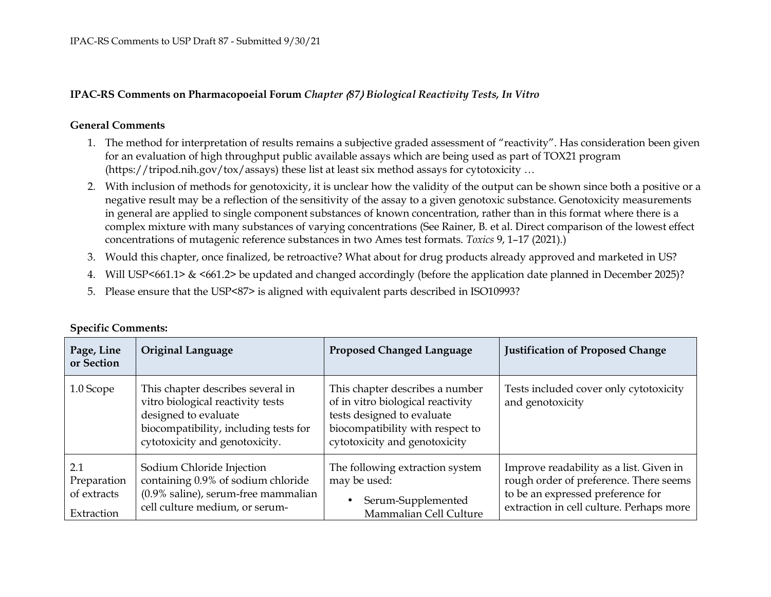## **IPAC-RS Comments on Pharmacopoeial Forum** *Chapter* 〈*87*〉 *Biological Reactivity Tests, In Vitro*

## **General Comments**

- 1. The method for interpretation of results remains a subjective graded assessment of "reactivity". Has consideration been given for an evaluation of high throughput public available assays which are being used as part of TOX21 program(https://tripod.nih.gov/tox/assays) these list at least six method assays for cytotoxicity …
- 2. With inclusion of methods for genotoxicity, it is unclear how the validity of the output can be shown since both a positive or a negative result may be a reflection of the sensitivity of the assay to a given genotoxic substance. Genotoxicity measurementsin general are applied to single component substances of known concentration, rather than in this format where there is a complex mixture with many substances of varying concentrations (See Rainer, B. et al. Direct comparison of the lowest effectconcentrations of mutagenic reference substances in two Ames test formats. *Toxics* 9, 1–17 (2021).)
- 3. Would this chapter, once finalized, be retroactive? What about for drug products already approved and marketed in US?
- 4. Will USP<661.1> & <661.2> be updated and changed accordingly (before the application date planned in December 2025)?
- 5. Please ensure that the USP<87> is aligned with equivalent parts described in ISO10993?

| Page, Line<br>or Section                        | <b>Original Language</b>                                                                                                                                                  | <b>Proposed Changed Language</b>                                                                                                                                        | <b>Justification of Proposed Change</b>                                                                                                                            |
|-------------------------------------------------|---------------------------------------------------------------------------------------------------------------------------------------------------------------------------|-------------------------------------------------------------------------------------------------------------------------------------------------------------------------|--------------------------------------------------------------------------------------------------------------------------------------------------------------------|
| 1.0 Scope                                       | This chapter describes several in<br>vitro biological reactivity tests<br>designed to evaluate<br>biocompatibility, including tests for<br>cytotoxicity and genotoxicity. | This chapter describes a number<br>of in vitro biological reactivity<br>tests designed to evaluate<br>biocompatibility with respect to<br>cytotoxicity and genotoxicity | Tests included cover only cytotoxicity<br>and genotoxicity                                                                                                         |
| 2.1<br>Preparation<br>of extracts<br>Extraction | Sodium Chloride Injection<br>containing 0.9% of sodium chloride<br>(0.9% saline), serum-free mammalian<br>cell culture medium, or serum-                                  | The following extraction system<br>may be used:<br>Serum-Supplemented<br>$\bullet$<br>Mammalian Cell Culture                                                            | Improve readability as a list. Given in<br>rough order of preference. There seems<br>to be an expressed preference for<br>extraction in cell culture. Perhaps more |

## **Specific Comments:**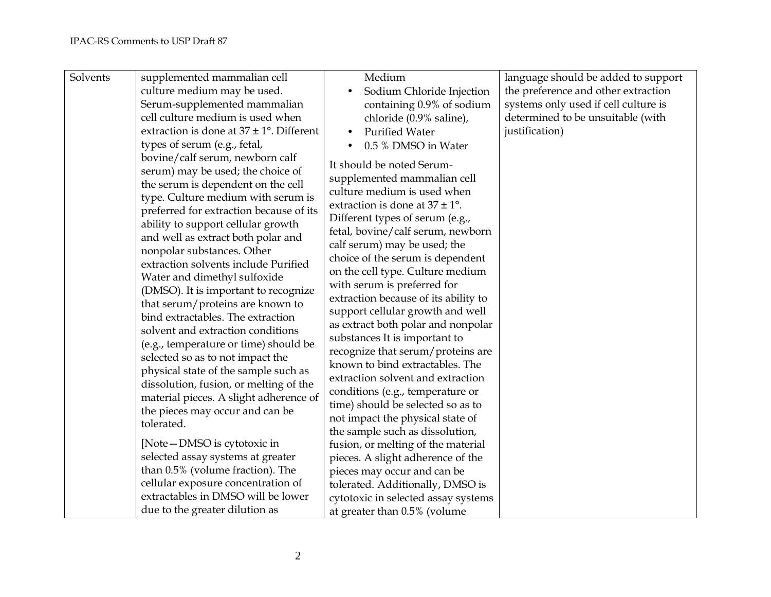| Solvents | supplemented mammalian cell<br>culture medium may be used.<br>Serum-supplemented mammalian<br>cell culture medium is used when                                                                                                                                                                                                                                                                                                                                                                                                                                                                                                                                                                                                                                                                                                                                                                                                                                                                                                                                           | Medium<br>Sodium Chloride Injection<br>containing 0.9% of sodium<br>chloride (0.9% saline),                                                                                                                                                                                                                                                                                                                                                                                                                                                                                                                                                                                                                                                                                                                                                                                                                                                                                                                            | language should be added to support<br>the preference and other extraction<br>systems only used if cell culture is<br>determined to be unsuitable (with |
|----------|--------------------------------------------------------------------------------------------------------------------------------------------------------------------------------------------------------------------------------------------------------------------------------------------------------------------------------------------------------------------------------------------------------------------------------------------------------------------------------------------------------------------------------------------------------------------------------------------------------------------------------------------------------------------------------------------------------------------------------------------------------------------------------------------------------------------------------------------------------------------------------------------------------------------------------------------------------------------------------------------------------------------------------------------------------------------------|------------------------------------------------------------------------------------------------------------------------------------------------------------------------------------------------------------------------------------------------------------------------------------------------------------------------------------------------------------------------------------------------------------------------------------------------------------------------------------------------------------------------------------------------------------------------------------------------------------------------------------------------------------------------------------------------------------------------------------------------------------------------------------------------------------------------------------------------------------------------------------------------------------------------------------------------------------------------------------------------------------------------|---------------------------------------------------------------------------------------------------------------------------------------------------------|
|          | extraction is done at $37 \pm 1^{\circ}$ . Different<br>types of serum (e.g., fetal,<br>bovine/calf serum, newborn calf<br>serum) may be used; the choice of<br>the serum is dependent on the cell<br>type. Culture medium with serum is<br>preferred for extraction because of its<br>ability to support cellular growth<br>and well as extract both polar and<br>nonpolar substances. Other<br>extraction solvents include Purified<br>Water and dimethyl sulfoxide<br>(DMSO). It is important to recognize<br>that serum/proteins are known to<br>bind extractables. The extraction<br>solvent and extraction conditions<br>(e.g., temperature or time) should be<br>selected so as to not impact the<br>physical state of the sample such as<br>dissolution, fusion, or melting of the<br>material pieces. A slight adherence of<br>the pieces may occur and can be<br>tolerated.<br>[Note-DMSO is cytotoxic in<br>selected assay systems at greater<br>than 0.5% (volume fraction). The<br>cellular exposure concentration of<br>extractables in DMSO will be lower | <b>Purified Water</b><br>$\bullet$<br>0.5 % DMSO in Water<br>It should be noted Serum-<br>supplemented mammalian cell<br>culture medium is used when<br>extraction is done at $37 \pm 1^{\circ}$ .<br>Different types of serum (e.g.,<br>fetal, bovine/calf serum, newborn<br>calf serum) may be used; the<br>choice of the serum is dependent<br>on the cell type. Culture medium<br>with serum is preferred for<br>extraction because of its ability to<br>support cellular growth and well<br>as extract both polar and nonpolar<br>substances It is important to<br>recognize that serum/proteins are<br>known to bind extractables. The<br>extraction solvent and extraction<br>conditions (e.g., temperature or<br>time) should be selected so as to<br>not impact the physical state of<br>the sample such as dissolution,<br>fusion, or melting of the material<br>pieces. A slight adherence of the<br>pieces may occur and can be<br>tolerated. Additionally, DMSO is<br>cytotoxic in selected assay systems | justification)                                                                                                                                          |
|          | due to the greater dilution as                                                                                                                                                                                                                                                                                                                                                                                                                                                                                                                                                                                                                                                                                                                                                                                                                                                                                                                                                                                                                                           | at greater than 0.5% (volume                                                                                                                                                                                                                                                                                                                                                                                                                                                                                                                                                                                                                                                                                                                                                                                                                                                                                                                                                                                           |                                                                                                                                                         |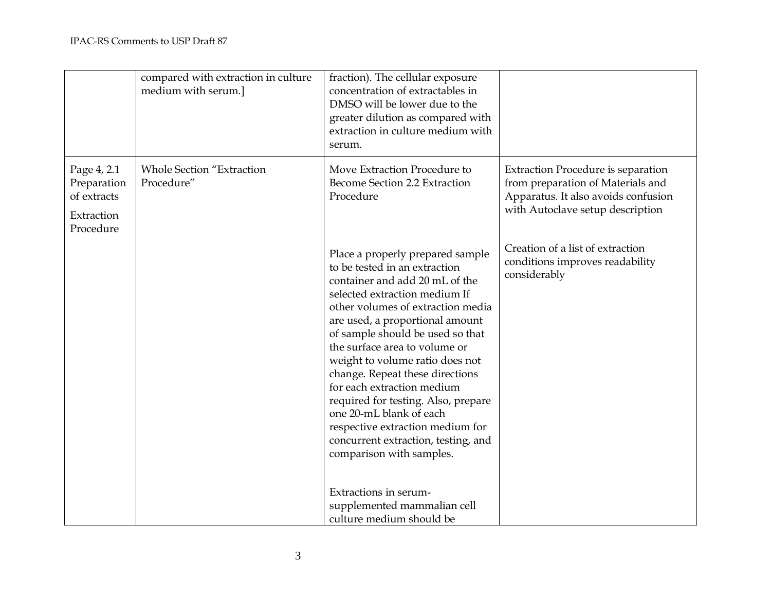|                                                                      | compared with extraction in culture<br>medium with serum.] | fraction). The cellular exposure<br>concentration of extractables in<br>DMSO will be lower due to the<br>greater dilution as compared with<br>extraction in culture medium with<br>serum.                                                                                                                                                                                                                                                                                                                                                                                               |                                                                                                                                                           |
|----------------------------------------------------------------------|------------------------------------------------------------|-----------------------------------------------------------------------------------------------------------------------------------------------------------------------------------------------------------------------------------------------------------------------------------------------------------------------------------------------------------------------------------------------------------------------------------------------------------------------------------------------------------------------------------------------------------------------------------------|-----------------------------------------------------------------------------------------------------------------------------------------------------------|
| Page 4, 2.1<br>Preparation<br>of extracts<br>Extraction<br>Procedure | <b>Whole Section "Extraction</b><br>Procedure"             | Move Extraction Procedure to<br>Become Section 2.2 Extraction<br>Procedure                                                                                                                                                                                                                                                                                                                                                                                                                                                                                                              | <b>Extraction Procedure is separation</b><br>from preparation of Materials and<br>Apparatus. It also avoids confusion<br>with Autoclave setup description |
|                                                                      |                                                            | Place a properly prepared sample<br>to be tested in an extraction<br>container and add 20 mL of the<br>selected extraction medium If<br>other volumes of extraction media<br>are used, a proportional amount<br>of sample should be used so that<br>the surface area to volume or<br>weight to volume ratio does not<br>change. Repeat these directions<br>for each extraction medium<br>required for testing. Also, prepare<br>one 20-mL blank of each<br>respective extraction medium for<br>concurrent extraction, testing, and<br>comparison with samples.<br>Extractions in serum- | Creation of a list of extraction<br>conditions improves readability<br>considerably                                                                       |
|                                                                      |                                                            | supplemented mammalian cell<br>culture medium should be                                                                                                                                                                                                                                                                                                                                                                                                                                                                                                                                 |                                                                                                                                                           |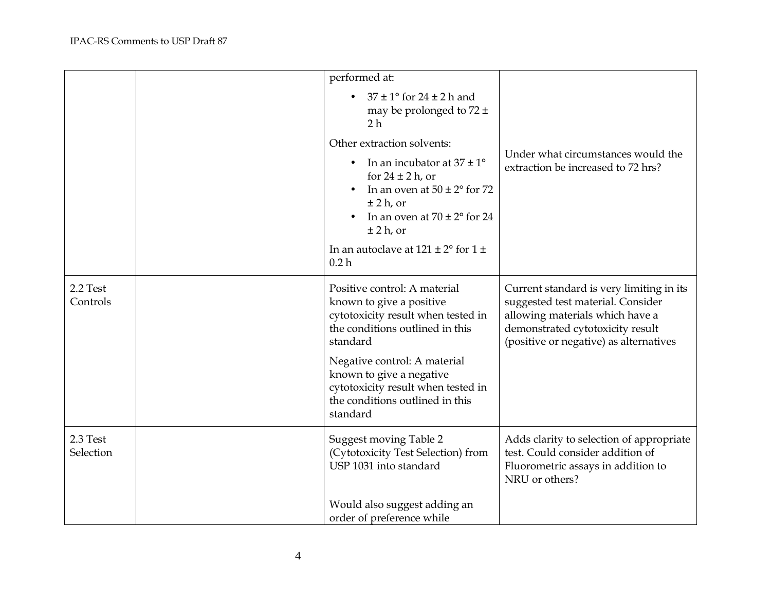|                       | performed at:                                                                                                                                                                       |                                                                                                                                                                                                |
|-----------------------|-------------------------------------------------------------------------------------------------------------------------------------------------------------------------------------|------------------------------------------------------------------------------------------------------------------------------------------------------------------------------------------------|
|                       | $37 \pm 1$ ° for 24 $\pm$ 2 h and<br>may be prolonged to $72 \pm$<br>2 h                                                                                                            |                                                                                                                                                                                                |
|                       | Other extraction solvents:                                                                                                                                                          |                                                                                                                                                                                                |
|                       | In an incubator at $37 \pm 1^{\circ}$<br>for $24 \pm 2$ h, or<br>In an oven at $50 \pm 2^{\circ}$ for 72<br>$±$ 2 h, or<br>In an oven at $70 \pm 2^{\circ}$ for 24<br>$\pm$ 2 h, or | Under what circumstances would the<br>extraction be increased to 72 hrs?                                                                                                                       |
|                       | In an autoclave at $121 \pm 2^{\circ}$ for $1 \pm$<br>0.2 <sub>h</sub>                                                                                                              |                                                                                                                                                                                                |
| 2.2 Test<br>Controls  | Positive control: A material<br>known to give a positive<br>cytotoxicity result when tested in<br>the conditions outlined in this<br>standard                                       | Current standard is very limiting in its<br>suggested test material. Consider<br>allowing materials which have a<br>demonstrated cytotoxicity result<br>(positive or negative) as alternatives |
|                       | Negative control: A material<br>known to give a negative<br>cytotoxicity result when tested in<br>the conditions outlined in this<br>standard                                       |                                                                                                                                                                                                |
| 2.3 Test<br>Selection | Suggest moving Table 2<br>(Cytotoxicity Test Selection) from<br>USP 1031 into standard                                                                                              | Adds clarity to selection of appropriate<br>test. Could consider addition of<br>Fluorometric assays in addition to<br>NRU or others?                                                           |
|                       | Would also suggest adding an<br>order of preference while                                                                                                                           |                                                                                                                                                                                                |